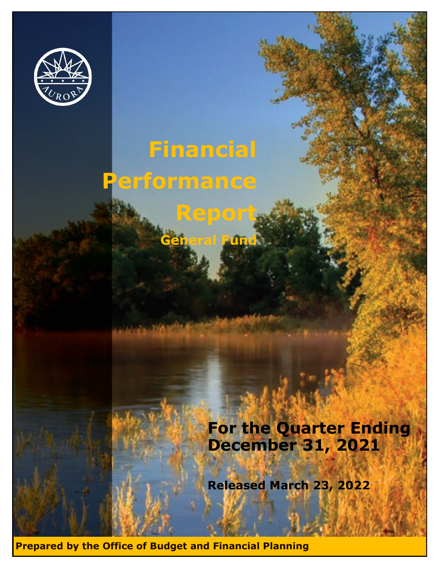

# **Financial Performance Report**

**General Fund**

**Fund Performance** 

**Fund Performance** 

#### **For the Quarter Ending March 31, 20 For the Quarter Ending For the Quarter Ending March 31, 2020 December 31, 2021**

**Released March 23, 202** Released March 23, 2022

**Prepared by the Office of Budget and Financial Planning**

**General Fundation** 

**General Fund**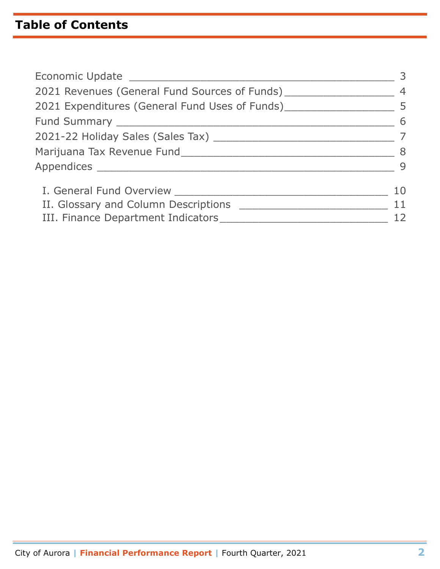# **Table of Contents**

| Economic Update ______________                                                     | 3              |
|------------------------------------------------------------------------------------|----------------|
| 2021 Revenues (General Fund Sources of Funds)                                      | $\overline{4}$ |
| 2021 Expenditures (General Fund Uses of Funds) _________________________________ 5 |                |
|                                                                                    | 6              |
|                                                                                    |                |
| Marijuana Tax Revenue Fund                                                         | 8              |
|                                                                                    | 9              |
|                                                                                    | 10             |
| II. Glossary and Column Descriptions                                               | 11             |
| III. Finance Department Indicators ___________                                     |                |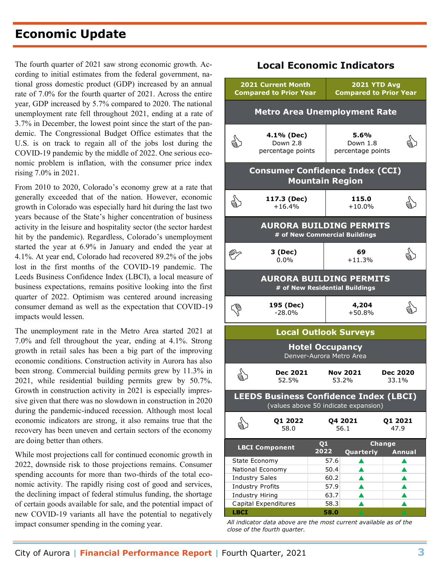# **Economic Update**

The fourth quarter of 2021 saw strong economic growth. Ac- **Local Economic Indicators** cording to initial estimates from the federal government, national gross domestic product (GDP) increased by an annual rate of 7.0% for the fourth quarter of 2021. Across the entire year, GDP increased by 5.7% compared to 2020. The national unemployment rate fell throughout 2021, ending at a rate of 3.7% in December, the lowest point since the start of the pandemic. The Congressional Budget Office estimates that the U.S. is on track to regain all of the jobs lost during the COVID-19 pandemic by the middle of 2022. One serious economic problem is inflation, with the consumer price index rising 7.0% in 2021.

From 2010 to 2020, Colorado's economy grew at a rate that generally exceeded that of the nation. However, economic growth in Colorado was especially hard hit during the last two years because of the State's higher concentration of business activity in the leisure and hospitality sector (the sector hardest hit by the pandemic). Regardless, Colorado's unemployment started the year at 6.9% in January and ended the year at 4.1%. At year end, Colorado had recovered 89.2% of the jobs lost in the first months of the COVID-19 pandemic. The Leeds Business Confidence Index (LBCI), a local measure of business expectations, remains positive looking into the first quarter of 2022. Optimism was centered around increasing consumer demand as well as the expectation that COVID-19 impacts would lessen.

The unemployment rate in the Metro Area started 2021 at 7.0% and fell throughout the year, ending at 4.1%. Strong growth in retail sales has been a big part of the improving economic conditions. Construction activity in Aurora has also been strong. Commercial building permits grew by 11.3% in 2021, while residential building permits grew by 50.7%. Growth in construction activity in 2021 is especially impressive given that there was no slowdown in construction in 2020 during the pandemic-induced recession. Although most local economic indicators are strong, it also remains true that the recovery has been uneven and certain sectors of the economy are doing better than others.

While most projections call for continued economic growth in 2022, downside risk to those projections remains. Consumer spending accounts for more than two-thirds of the total economic activity. The rapidly rising cost of good and services, the declining impact of federal stimulus funding, the shortage of certain goods available for sale, and the potential impact of new COVID-19 variants all have the potential to negatively impact consumer spending in the coming year.

#### **2021 Current Month Compared to Prior Year 2021 YTD Avg Compared to Prior Year Metro Area Unemployment Rate** ब्रै) **4.1% (Dec)** Down 2.8 percentage points **5.6%** Down 1.8 percentage points बै) **Consumer Confidence Index (CCI) Mountain Region** द्वी **117.3 (Dec)** +16.4% **115.0**  $^{115.0}_{+10.0\%}$   $\qquad \qquad \circledast$ **AURORA BUILDING PERMITS # of New Commercial Buildings 3 (Dec)** 0.0% **69** +11.3% **Local Outlook Surveys Hotel Occupancy** Denver-Aurora Metro Area  **Dec 2021** 52.5%  **Nov 2021** 53.2% **Dec 2020** 33.1% **AURORA BUILDING PERMITS # of New Residential Buildings** G **195 (Dec)** -28.0% **4,204**  $^{4,204}_{+50.8\%}$   $\qquad \qquad \circledast$ **LEEDS Business Confidence Index (LBCI)** (values above 50 indicate expansion) ु<br>बु **Q1 2022** 58.0 **Q4 2021** 56.1 **Q1 2021** 47.9 ৻৻৻৻ ू<br>हर् **Quarterly Annual** State Economy  $\vert$  57.6  $\vert$   $\vert$   $\vert$   $\vert$ National Economy  $\begin{array}{|c|c|c|c|c|c|c|c|}\n\hline\n\text{A} & \text{A} & \text{A}\n\end{array}$ Industry Sales 60.2  $\triangle$  b  $\triangle$ Industry Profits  $\vert$  57.9 **A** Industry Hiring  $\begin{array}{|c|c|c|c|c|c|} \hline \text{I} & \text{A} & \text{I} & \text{A} \ \hline \end{array}$ **Change LBCI Component Q1 2022**

*All indicator data above are the most current available as of the close of the fourth quarter.* **LBCI 58.0 A A** 

Capital Expenditures  $\vert$  58.3  $\vert$  **A**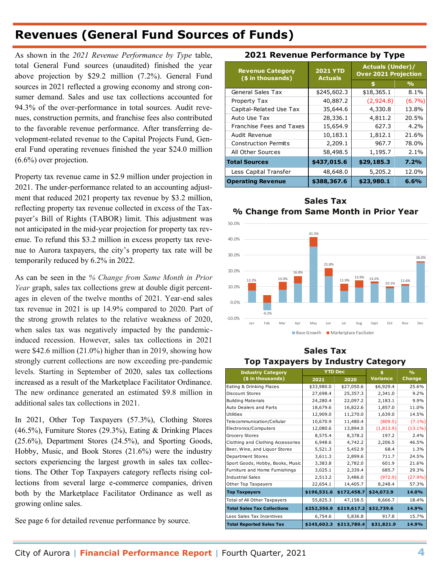# **Revenues (General Fund Sources of Funds)**

As shown in the *2021 Revenue Performance by Type* table, total General Fund sources (unaudited) finished the year above projection by \$29.2 million (7.2%). General Fund sources in 2021 reflected a growing economy and strong consumer demand. Sales and use tax collections accounted for 94.3% of the over-performance in total sources. Audit revenues, construction permits, and franchise fees also contributed to the favorable revenue performance. After transferring development-related revenue to the Capital Projects Fund, General Fund operating revenues finished the year \$24.0 million (6.6%) over projection.

Property tax revenue came in \$2.9 million under projection in 2021. The under-performance related to an accounting adjustment that reduced 2021 property tax revenue by \$3.2 million, reflecting property tax revenue collected in excess of the Taxpayer's Bill of Rights (TABOR) limit. This adjustment was not anticipated in the mid-year projection for property tax revenue. To refund this \$3.2 million in excess property tax revenue to Aurora taxpayers, the city's property tax rate will be temporarily reduced by 6.2% in 2022.

As can be seen in the *% Change from Same Month in Prior Year* graph, sales tax collections grew at double digit percentages in eleven of the twelve months of 2021. Year-end sales tax revenue in 2021 is up 14.9% compared to 2020. Part of the strong growth relates to the relative weakness of 2020, when sales tax was negatively impacted by the pandemicinduced recession. However, sales tax collections in 2021 were \$42.6 million (21.0%) higher than in 2019, showing how strongly current collections are now exceeding pre-pandemic levels. Starting in September of 2020, sales tax collections increased as a result of the Marketplace Facilitator Ordinance. The new ordinance generated an estimated \$9.8 million in additional sales tax collections in 2021.

In 2021, Other Top Taxpayers (57.3%), Clothing Stores (46.5%), Furniture Stores (29.3%), Eating & Drinking Places (25.6%), Department Stores (24.5%), and Sporting Goods, Hobby, Music, and Book Stores (21.6%) were the industry sectors experiencing the largest growth in sales tax collections. The Other Top Taxpayers category reflects rising collections from several large e-commerce companies, driven both by the Marketplace Facilitator Ordinance as well as growing online sales.

See page 6 for detailed revenue performance by source.

#### **2021 Revenue Performance by Type**

| <b>Revenue Category</b><br>(\$ in thousands) | <b>2021 YTD</b><br><b>Actuals</b> | <b>Actuals (Under)/</b><br><b>Over 2021 Projection</b> |               |
|----------------------------------------------|-----------------------------------|--------------------------------------------------------|---------------|
|                                              |                                   |                                                        | $\frac{9}{6}$ |
| <b>General Sales Tax</b>                     | \$245,602.3                       | \$18,365.1                                             | $8.1\%$       |
| Property Tax                                 | 40,887.2                          | (2,924.8)                                              | $(6.7\%)$     |
| Capital-Related Use Tax                      | 35,644.6                          | 4,330.8                                                | 13.8%         |
| Auto Use Tax                                 | 28,336.1                          | 4,811.2                                                | 20.5%         |
| Franchise Fees and Taxes                     | 15,654.9                          | 627.3                                                  | 4.2%          |
| Audit Revenue                                | 10,183.1                          | 1,812.1                                                | 21.6%         |
| <b>Construction Permits</b>                  | 2,209.1                           | 967.7                                                  | 78.0%         |
| All Other Sources                            | 58,498.5                          | 1,195.7                                                | $2.1\%$       |
| <b>Total Sources</b>                         | \$437,015.6                       | \$29,185.3                                             | 7.2%          |
| Less Capital Transfer                        | 48,648.0                          | 5,205.2                                                | 12.0%         |
| <b>Operating Revenue</b>                     | \$388,367.6                       | \$23,980.1                                             | 6.6%          |

#### **Sales Tax % Change from Same Month in Prior Year**



#### **Sales Tax Top Taxpayers by Industry Category**

| <b>Industry Category</b>           | <b>YTD Dec</b> |             | Ś.              | O/2           |
|------------------------------------|----------------|-------------|-----------------|---------------|
| (\$ in thousands)                  | 2021           | 2020        | <b>Variance</b> | <b>Change</b> |
| Eating & Drinking Places           | \$33,980.0     | \$27,050.6  | \$6,929.4       | 25.6%         |
| Discount Stores                    | 27,698.4       | 25,357.3    | 2,341.0         | 9.2%          |
| <b>Building Materials</b>          | 24,280.4       | 22,097.2    | 2,183.1         | 9.9%          |
| Auto Dealers and Parts             | 18,679.6       | 16,822.6    | 1,857.0         | 11.0%         |
| <b>Utilities</b>                   | 12,909.0       | 11,270.0    | 1,639.0         | 14.5%         |
| Telecommunication/Cellular         | 10,670.9       | 11,480.4    | (809.5)         | $(7.1\%)$     |
| Electronics/Computers              | 12,080.6       | 13,894.5    | (1,813.9)       | $(13.1\%)$    |
| Grocery Stores                     | 8,575.4        | 8,378.2     | 197.2           | 2.4%          |
| Clothing and Clothing Accessories  | 6.948.6        | 4,742.2     | 2,206.5         | 46.5%         |
| Beer, Wine, and Liquor Stores      | 5,521.3        | 5,452.9     | 68.4            | 1.3%          |
| Department Stores                  | 3,611.3        | 2,899.6     | 711.7           | 24.5%         |
| Sport Goods, Hobby, Books, Music   | 3,383.8        | 2,782.0     | 601.9           | 21.6%         |
| Furniture and Home Furnishings     | 3,025.1        | 2,339.4     | 685.7           | 29.3%         |
| <b>Industrial Sales</b>            | 2,513.2        | 3,486.0     | (972.9)         | (27.9%)       |
| Other Top Taxpayers                | 22,654.1       | 14,405.7    | 8,248.4         | 57.3%         |
| <b>Top Taxpayers</b>               | \$196,531.6    | \$172,458.7 | \$24,072.9      | 14.0%         |
| Total of All Other Taxpayers       | 55,825.3       | 47,158.5    | 8,666.7         | 18.4%         |
| <b>Total Sales Tax Collections</b> | \$252,356.9    | \$219,617.2 | \$32,739.6      | 14.9%         |
| Less Sales Tax Incentives          | 6,754.6        | 5,836.8     | 917.8           | 15.7%         |
| <b>Total Reported Sales Tax</b>    | \$245,602.3    | \$213,780.4 | \$31,821.9      | 14.9%         |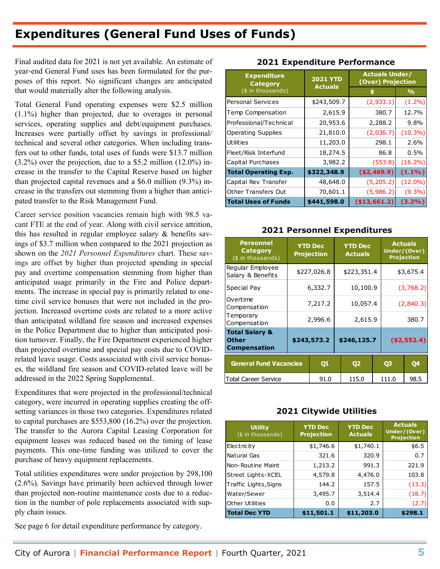# **Expenditures (General Fund Uses of Funds)**

Final audited data for 2021 is not yet available. An estimate of year-end General Fund uses has been formulated for the purposes of this report. No significant changes are anticipated that would materially alter the following analysis.

Total General Fund operating expenses were \$2.5 million (1.1%) higher than projected, due to overages in personal services, operating supplies and debt/equipment purchases. Increases were partially offset by savings in professional/ technical and several other categories. When including transfers out to other funds, total uses of funds were \$13.7 million (3.2%) over the projection, due to a \$5.2 million (12.0%) increase in the transfer to the Capital Reserve based on higher than projected capital revenues and a \$6.0 million (9.3%) increase in the transfers out stemming from a higher than anticipated transfer to the Risk Management Fund.

Career service position vacancies remain high with 98.5 vacant FTE at the end of year. Along with civil service attrition, this has resulted in regular employee salary & benefits savings of \$3.7 million when compared to the 2021 projection as shown on the *2021 Personnel Expenditures* chart. These savings are offset by higher than projected spending in special pay and overtime compensation stemming from higher than anticipated usage primarily in the Fire and Police departments. The increase in special pay is primarily related to onetime civil service bonuses that were not included in the projection. Increased overtime costs are related to a more active than anticipated wildland fire season and increased expenses in the Police Department due to higher than anticipated position turnover. Finally, the Fire Department experienced higher than projected overtime and special pay costs due to COVIDrelated leave usage. Costs associated with civil service bonuses, the wildland fire season and COVID-related leave will be addressed in the 2022 Spring Supplemental.

Expenditures that were projected in the professional/technical category, were incurred in operating supplies creating the offsetting variances in those two categories. Expenditures related to capital purchases are \$553,800 (16.2%) over the projection. The transfer to the Aurora Capital Leasing Corporation for equipment leases was reduced based on the timing of lease payments. This one-time funding was utilized to cover the purchase of heavy equipment replacements.

Total utilities expenditures were under projection by 298,100 (2.6%). Savings have primarily been achieved through lower than projected non-routine maintenance costs due to a reduction in the number of pole replacements associated with supply chain issues.

See page 6 for detail expenditure performance by category.

| <b>Expenditure</b><br><b>Category</b> | <b>2021 YTD</b><br><b>Actuals</b> | <b>Actuals Under/</b><br>(Over) Projection |               |
|---------------------------------------|-----------------------------------|--------------------------------------------|---------------|
| (\$ in thousands)                     |                                   | S                                          | $\frac{1}{2}$ |
| <b>Personal Services</b>              | \$243,509.7                       | (2,933.1)                                  | $(1.2\%)$     |
| Temp Compensation                     | 2,615.9                           | 380.7                                      | 12.7%         |
| Professional/Technical                | 20,953.6                          | 2,288.2                                    | 9.8%          |
| <b>Operating Supplies</b>             | 21,810.0                          | (2,036.7)                                  | $(10.3\%)$    |
| <b>Utilities</b>                      | 11,203.0                          | 298.1                                      | 2.6%          |
| Fleet/Risk Interfund                  | 18,274.5                          | 86.8                                       | 0.5%          |
| Capital Purchases                     | 3,982.2                           | (553.8)                                    | $(16.2\%)$    |
| <b>Total Operating Exp.</b>           | \$322,348.9                       | (\$2,469.9)                                | $(1.1\%)$     |
| Capital Rev Transfer                  | 48,648.0                          | (5,205.2)                                  | $(12.0\%)$    |
| <b>Other Transfers Out</b>            | 70,601.1                          | (5,986.2)                                  | $(9.3\%)$     |
| <b>Total Uses of Funds</b>            | \$441,598.0                       | ( \$13,661.2)                              | (3.2%)        |

#### **2021 Expenditure Performance**

#### **2021 Personnel Expenditures**

| (\$ in thousands)                                                |  |                                                                           |          | \$                               |              |                | %                                                   |
|------------------------------------------------------------------|--|---------------------------------------------------------------------------|----------|----------------------------------|--------------|----------------|-----------------------------------------------------|
| <b>Personal Services</b>                                         |  | \$243,509.7                                                               |          |                                  | (2,933.1)    |                | $(1.2\%)$                                           |
| Temp Compensation                                                |  | 2,615.9                                                                   |          |                                  |              | 380.7          | 12.7%                                               |
| Professional/Technical                                           |  |                                                                           | 20,953.6 |                                  | 2,288.2      |                | 9.8%                                                |
| <b>Operating Supplies</b>                                        |  | 21,810.0                                                                  |          |                                  |              | (2,036.7)      | $(10.3\%)$                                          |
| Utilities                                                        |  | 11,203.0                                                                  |          |                                  |              | 298.1          | 2.6%                                                |
| Fleet/Risk Interfund                                             |  | 18,274.5                                                                  |          |                                  |              | 86.8           | 0.5%                                                |
| Capital Purchases                                                |  | 3,982.2                                                                   |          |                                  |              | (553.8)        | $(16.2\%)$                                          |
| <b>Total Operating Exp.</b>                                      |  | \$322,348.9                                                               |          | (\$2,469.9)                      |              |                | $(1.1\%)$                                           |
| Capital Rev Transfer                                             |  | 48,648.0                                                                  |          |                                  | (5, 205.2)   |                | $(12.0\%)$                                          |
| <b>Other Transfers Out</b>                                       |  | 70,601.1                                                                  |          |                                  |              | (5,986.2)      | $(9.3\%)$                                           |
| <b>Total Uses of Funds</b>                                       |  | \$441,598.0                                                               |          | ( \$13,661.2)                    |              |                | (3.2%)                                              |
| <b>Personnel</b><br>Category<br>(\$ in thousands)                |  | <b>2021 Personnel Expenditures</b><br><b>YTD Dec</b><br><b>Projection</b> |          | <b>YTD Dec</b><br><b>Actuals</b> |              |                | <b>Actuals</b><br>Under/(Over)<br><b>Projection</b> |
| Regular Employee<br>Salary & Benefits                            |  | \$227,026.8                                                               |          | \$223,351.4                      |              | \$3,675.4      |                                                     |
| Special Pay                                                      |  | 6,332.7                                                                   |          | 10,100.9                         |              | (3,768.2)      |                                                     |
| Overtime<br>Compensation                                         |  | 7,217.2                                                                   |          | 10,057.4                         |              | (2,840.3)      |                                                     |
| Temporary<br>Compensation                                        |  | 2,996.6                                                                   |          | 2,615.9                          |              | 380.7          |                                                     |
| <b>Total Salary &amp;</b><br><b>Other</b><br><b>Compensation</b> |  | \$246,125.7<br>\$243,573.2                                                |          |                                  | ( \$2,552.4) |                |                                                     |
| General Fund Vacancies                                           |  | Q1                                                                        |          | <b>Q2</b>                        |              | Q <sub>3</sub> | Q4                                                  |
| <b>Total Career Service</b>                                      |  | 91.0                                                                      |          | 115.0<br>111.0                   |              |                | 98.5                                                |
| <b>2021 Citywide Utilities</b>                                   |  |                                                                           |          |                                  |              |                |                                                     |
| <b>Utility</b><br>(\$ in thousands)                              |  | <b>YTD Dec</b><br><b>Projection</b>                                       |          | <b>YTD Dec</b><br><b>Actuals</b> |              |                | <b>Actuals</b><br>Under/(Over)<br><b>Projection</b> |

#### **2021 Citywide Utilities**

| <b>Utility</b><br>(\$ in thousands) | <b>YTD Dec</b><br><b>Projection</b> | <b>YTD Dec</b><br><b>Actuals</b> | <b>Actuals</b><br>Under/(Over)<br><b>Projection</b> |
|-------------------------------------|-------------------------------------|----------------------------------|-----------------------------------------------------|
| Electricity                         | \$1,746.6                           | \$1,740.1                        | \$6.5                                               |
| Natural Gas                         | 321.6                               | 320.9                            | 0.7                                                 |
| Non-Routine Maint                   | 1,213.2                             | 991.3                            | 221.9                                               |
| Street Lights-XCEL                  | 4,579.8                             | 4,476.0                          | 103.8                                               |
| Traffic Lights, Signs               | 144.2                               | 157.5                            | (13.3)                                              |
| Water/Sewer                         | 3,495.7                             | 3,514.4                          | (18.7)                                              |
| <b>Other Utilities</b>              | 0.0                                 | 2.7                              | (2.7)                                               |
| <b>Total Dec YTD</b>                | \$11,501.1                          | \$11,203.0                       | \$298.1                                             |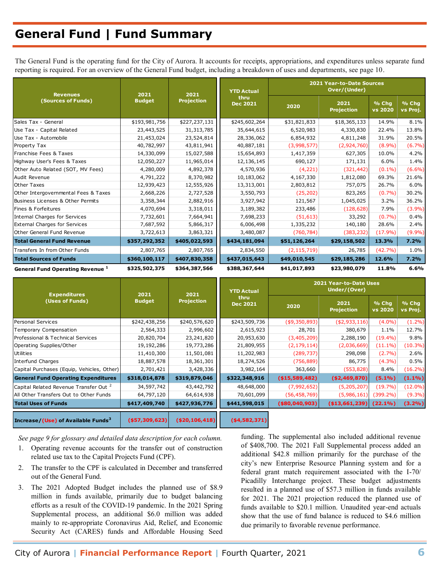# **General Fund | Fund Summary**

The General Fund is the operating fund for the City of Aurora. It accounts for receipts, appropriations, and expenditures unless separate fund reporting is required. For an overview of the General Fund budget, including a breakdown of uses and departments, see page 10.

| <b>Revenues</b>                             | 2021<br>2021  |                                              | <b>YTD Actual</b> | 2021 Year-to-Date Sources<br>Over/(Under) |                         |                   |           |
|---------------------------------------------|---------------|----------------------------------------------|-------------------|-------------------------------------------|-------------------------|-------------------|-----------|
| (Sources of Funds)                          | <b>Budget</b> | thru<br><b>Projection</b><br><b>Dec 2021</b> | 2020              | 2021<br><b>Projection</b>                 | % Chg<br><b>vs 2020</b> | % Chg<br>vs Proj. |           |
| Sales Tax - General                         | \$193,981,756 | \$227,237,131                                | \$245,602,264     | \$31,821,833                              | \$18,365,133            | 14.9%             | 8.1%      |
| Use Tax - Capital Related                   | 23,443,525    | 31, 313, 785                                 | 35,644,615        | 6,520,983                                 | 4,330,830               | 22.4%             | 13.8%     |
| Use Tax - Automobile                        | 21,453,024    | 23,524,814                                   | 28,336,062        | 6,854,932                                 | 4,811,248               | 31.9%             | 20.5%     |
| Property Tax                                | 40,782,997    | 43,811,941                                   | 40,887,181        | (3,998,577)                               | (2,924,760)             | $(8.9\%)$         | (6.7%)    |
| Franchise Fees & Taxes                      | 14,330,099    | 15,027,588                                   | 15,654,893        | 1,417,359                                 | 627,305                 | 10.0%             | 4.2%      |
| Highway User's Fees & Taxes                 | 12,050,227    | 11,965,014                                   | 12,136,145        | 690,127                                   | 171,131                 | 6.0%              | 1.4%      |
| Other Auto Related (SOT, MV Fees)           | 4,280,009     | 4,892,378                                    | 4,570,936         | (4, 221)                                  | (321, 442)              | $(0.1\%)$         | $(6.6\%)$ |
| Audit Revenue                               | 4,791,222     | 8,370,982                                    | 10,183,062        | 4,167,330                                 | 1,812,080               | 69.3%             | 21.6%     |
| <b>Other Taxes</b>                          | 12,939,423    | 12,555,926                                   | 13,313,001        | 2,803,812                                 | 757,075                 | 26.7%             | 6.0%      |
| Other Intergovernmental Fees & Taxes        | 2,668,226     | 2,727,528                                    | 3,550,793         | (25, 202)                                 | 823,265                 | $(0.7\%)$         | 30.2%     |
| Business Licenses & Other Permits           | 3,358,344     | 2,882,916                                    | 3,927,942         | 121,567                                   | 1,045,025               | 3.2%              | 36.2%     |
| Fines & Forfeitures                         | 4,070,694     | 3,318,011                                    | 3,189,382         | 233,486                                   | (128, 628)              | 7.9%              | (3.9%)    |
| <b>Internal Charges for Services</b>        | 7,732,601     | 7,664,941                                    | 7,698,233         | (51, 613)                                 | 33,292                  | (0.7%)            | 0.4%      |
| <b>External Charges for Services</b>        | 7,687,592     | 5,866,317                                    | 6,006,498         | 1,335,232                                 | 140,180                 | 28.6%             | 2.4%      |
| Other General Fund Revenue                  | 3,722,613     | 3,863,321                                    | 3,480,087         | (760, 784)                                | (383, 232)              | (17.9%)           | $(9.9\%)$ |
| <b>Total General Fund Revenue</b>           | \$357,292,352 | \$405,022,593                                | \$434,181,094     | \$51,126,264                              | \$29,158,502            | 13.3%             | 7.2%      |
| Transfers In from Other Funds               | 2,807,765     | 2,807,765                                    | 2,834,550         | (2, 115, 719)                             | 26,785                  | (42.7%)           | 1.0%      |
| <b>Total Sources of Funds</b>               | \$360,100,117 | \$407,830,358                                | \$437,015,643     | \$49,010,545                              | \$29,185,286            | 12.6%             | 7.2%      |
| General Fund Operating Revenue <sup>1</sup> | \$325,502,375 | \$364,387,566                                | \$388,367,644     | \$41,017,893                              | \$23,980,079            | 11.8%             | 6.6%      |

| <b>Expenditures</b>                               | 2021              | 2021              | <b>YTD Actual</b>       |                   | 2021 Year-to-Date Uses<br>Under/(Over) |                  |                   |
|---------------------------------------------------|-------------------|-------------------|-------------------------|-------------------|----------------------------------------|------------------|-------------------|
| (Uses of Funds)                                   | <b>Budget</b>     | <b>Projection</b> | thru<br><b>Dec 2021</b> | 2020              | 2021<br><b>Projection</b>              | % Chq<br>vs 2020 | % Chq<br>vs Proj. |
| Personal Services                                 | \$242,438,256     | \$240,576,620     | \$243,509,736           | (49, 350, 893)    | ( \$2,933,116)                         | $(4.0\%)$        | $(1.2\%)$         |
| Temporary Compensation                            | 2,564,333         | 2,996,602         | 2,615,923               | 28,701            | 380,679                                | 1.1%             | 12.7%             |
| Professional & Technical Services                 | 20,820,704        | 23,241,820        | 20,953,630              | (3,405,209)       | 2,288,190                              | $(19.4\%)$       | 9.8%              |
| Operating Supplies/Other                          | 19,192,286        | 19,773,286        | 21,809,955              | (2, 179, 114)     | (2,036,669)                            | $(11.1\%)$       | $(10.3\%)$        |
| Utilities                                         | 11,410,300        | 11,501,081        | 11,202,983              | (289, 737)        | 298,098                                | (2.7%)           | 2.6%              |
| Interfund Charges                                 | 18,887,578        | 18,361,301        | 18,274,526              | (756, 889)        | 86,775                                 | $(4.3\%)$        | 0.5%              |
| Capital Purchases (Equip, Vehicles, Other)        | 2,701,421         | 3,428,336         | 3,982,164               | 363,660           | (553, 828)                             | 8.4%             | $(16.2\%)$        |
| <b>General Fund Operating Expenditures</b>        | \$318,014,878     | \$319,879,046     | \$322,348,916           | $($ \$15,589,482) | ( \$2,469,870)                         | $(5.1\%)$        | $(1.1\%)$         |
| Capital Related Revenue Transfer Out <sup>2</sup> | 34,597,742        | 43,442,792        | 48,648,000              | (7,992,652)       | (5,205,207)                            | (19.7%)          | $(12.0\%)$        |
| All Other Transfers Out to Other Funds            | 64,797,120        | 64,614,938        | 70,601,099              | (56, 458, 769)    | (5,986,161)                            | $(399.2\%)$      | $(9.3\%)$         |
| <b>Total Uses of Funds</b>                        | \$417,409,740     | \$427,936,776     | \$441,598,015           | ( \$80,040,903)   | ( \$13,661,239)                        | $(22.1\%)$       | (3.2%)            |
| Increase/(Use) of Available Funds <sup>3</sup>    | $($ \$57,309,623) | (\$20,106,418)    | ( \$4,582,371)          |                   |                                        |                  |                   |

*See page 9 for glossary and detailed data description for each column.*

- 1. Operating revenue accounts for the transfer out of construction related use tax to the Capital Projects Fund (CPF).
- 2. The transfer to the CPF is calculated in December and transferred out of the General Fund.
- 3. The 2021 Adopted Budget includes the planned use of \$8.9 million in funds available, primarily due to budget balancing efforts as a result of the COVID-19 pandemic. In the 2021 Spring Supplemental process, an additional \$6.0 million was added mainly to re-appropriate Coronavirus Aid, Relief, and Economic Security Act (CARES) funds and Affordable Housing Seed

funding. The supplemental also included additional revenue of \$408,700. The 2021 Fall Supplemental process added an additional \$42.8 million primarily for the purchase of the city's new Enterprise Resource Planning system and for a federal grant match requirement associated with the I-70/ Picadilly Interchange project. These budget adjustments resulted in a planned use of \$57.3 million in funds available for 2021. The 2021 projection reduced the planned use of funds available to \$20.1 million. Unaudited year-end actuals show that the use of fund balance is reduced to \$4.6 million due primarily to favorable revenue performance.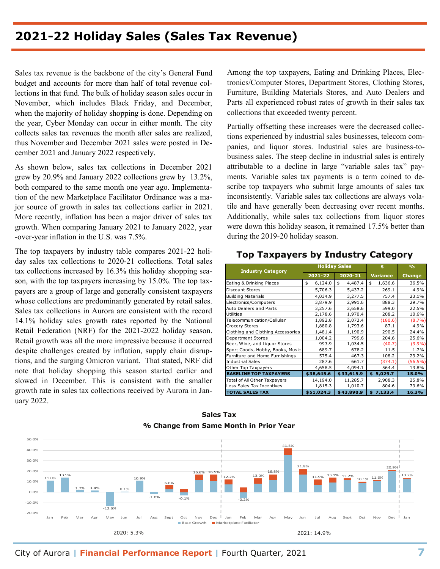## **2021-22 Holiday Sales (Sales Tax Revenue)**

Sales tax revenue is the backbone of the city's General Fund budget and accounts for more than half of total revenue collections in that fund. The bulk of holiday season sales occur in November, which includes Black Friday, and December, when the majority of holiday shopping is done. Depending on the year, Cyber Monday can occur in either month. The city collects sales tax revenues the month after sales are realized, thus November and December 2021 sales were posted in December 2021 and January 2022 respectively.

As shown below, sales tax collections in December 2021 grew by 20.9% and January 2022 collections grew by 13.2%, both compared to the same month one year ago. Implementation of the new Marketplace Facilitator Ordinance was a major source of growth in sales tax collections earlier in 2021. More recently, inflation has been a major driver of sales tax growth. When comparing January 2021 to January 2022, year -over-year inflation in the U.S. was 7.5%.

The top taxpayers by industry table compares 2021-22 holiday sales tax collections to 2020-21 collections. Total sales tax collections increased by 16.3% this holiday shopping season, with the top taxpayers increasing by 15.0%. The top taxpayers are a group of large and generally consistent taxpayers whose collections are predominantly generated by retail sales. Sales tax collections in Aurora are consistent with the record 14.1% holiday sales growth rates reported by the National Retail Federation (NRF) for the 2021-2022 holiday season. Retail growth was all the more impressive because it occurred despite challenges created by inflation, supply chain disruptions, and the surging Omicron variant. That stated, NRF did note that holiday shopping this season started earlier and slowed in December. This is consistent with the smaller growth rate in sales tax collections received by Aurora in January 2022.

Among the top taxpayers, Eating and Drinking Places, Electronics/Computer Stores, Department Stores, Clothing Stores, Furniture, Building Materials Stores, and Auto Dealers and Parts all experienced robust rates of growth in their sales tax collections that exceeded twenty percent.

Partially offsetting these increases were the decreased collections experienced by industrial sales businesses, telecom companies, and liquor stores. Industrial sales are business-tobusiness sales. The steep decline in industrial sales is entirely attributable to a decline in large "variable sales tax" payments. Variable sales tax payments is a term coined to describe top taxpayers who submit large amounts of sales tax inconsistently. Variable sales tax collections are always volatile and have generally been decreasing over recent months. Additionally, while sales tax collections from liquor stores were down this holiday season, it remained 17.5% better than during the 2019-20 holiday season.

#### **Top Taxpayers by Industry Category**

| <b>Industry Category</b>          |               | <b>Holiday Sales</b> | Ś.              | O <sub>0</sub> |
|-----------------------------------|---------------|----------------------|-----------------|----------------|
|                                   | 2021-22       | 2020-21              | <b>Variance</b> | Change         |
| Eating & Drinking Places          | 6,124.0<br>\$ | 4,487.4<br>\$        | 1,636.6<br>\$   | 36.5%          |
| Discount Stores                   | 5,706.3       | 5,437.2              | 269.1           | 4.9%           |
| <b>Building Materials</b>         | 4,034.9       | 3,277.5              | 757.4           | 23.1%          |
| Electronics/Computers             | 3,879.9       | 2.991.6              | 888.3           | 29.7%          |
| Auto Dealers and Parts            | 3,257.6       | 2,658.6              | 599.0           | 22.5%          |
| Utilities                         | 2,178.6       | 1,970.4              | 208.2           | 10.6%          |
| Telecommunication/Cellular        | 1,892.8       | 2,073.4              | (180.6)         | (8.7%)         |
| <b>Grocery Stores</b>             | 1,880.8       | 1,793.6              | 87.1            | 4.9%           |
| Clothing and Clothing Accessories | 1,481.4       | 1,190.9              | 290.5           | 24.4%          |
| Department Stores                 | 1,004.2       | 799.6                | 204.6           | 25.6%          |
| Beer, Wine, and Liquor Stores     | 993.9         | 1.034.5              | (40.7)          | (3.9%)         |
| Sport Goods, Hobby, Books, Music  | 689.7         | 678.2                | 11.5            | 1.7%           |
| Furniture and Home Furnishings    | 575.4         | 467.3                | 108.2           | 23.2%          |
| <b>Industrial Sales</b>           | 287.6         | 661.7                | (374.1)         | $(56.5\%)$     |
| Other Top Taxpayers               | 4,658.5       | 4,094.1              | 564.4           | 13.8%          |
| <b>BASELINE TOP TAXPAYERS</b>     | \$38,645.6    | \$33,615.9           | \$5,029.7       | 15.0%          |
| Total of All Other Taxpayers      | 14,194.0      | 11,285.7             | 2,908.3         | 25.8%          |
| Less Sales Tax Incentives         | 1,815.3       | 1,010.7              | 804.6           | 79.6%          |
| <b>TOTAL SALES TAX</b>            | \$51,024.3    | \$43,890.9           | 7,133.4<br>\$   | 16.3%          |



**Sales Tax**

City of Aurora **| Financial Performance Report |** Fourth Quarter, 2021 **7**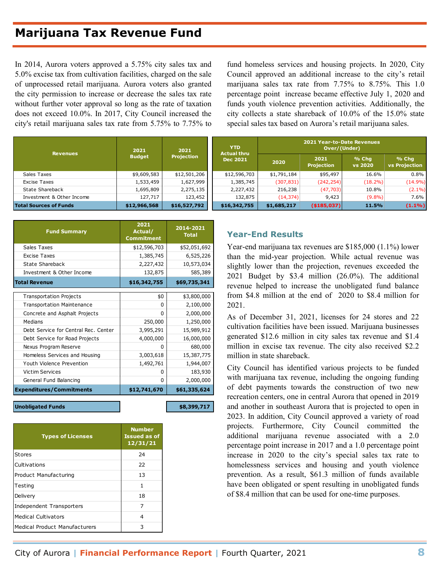# **Marijuana Tax Revenue Fund**

In 2014, Aurora voters approved a 5.75% city sales tax and 5.0% excise tax from cultivation facilities, charged on the sale of unprocessed retail marijuana. Aurora voters also granted the city permission to increase or decrease the sales tax rate without further voter approval so long as the rate of taxation does not exceed 10.0%. In 2017, City Council increased the city's retail marijuana sales tax rate from 5.75% to 7.75% to

fund homeless services and housing projects. In 2020, City Council approved an additional increase to the city's retail marijuana sales tax rate from 7.75% to 8.75%. This 1.0 percentage point increase became effective July 1, 2020 and funds youth violence prevention activities. Additionally, the city collects a state shareback of 10.0% of the 15.0% state special sales tax based on Aurora's retail marijuana sales.

| <b>Revenues</b>               | 2021          | <b>YTD</b><br>2021<br><b>Actual thru</b> |                 |             | <b>2021 Year-to-Date Revenues</b><br>Over/(Under) |                    |                               |
|-------------------------------|---------------|------------------------------------------|-----------------|-------------|---------------------------------------------------|--------------------|-------------------------------|
|                               | <b>Budget</b> | <b>Projection</b>                        | <b>Dec 2021</b> | 2020        | 2021<br><b>Projection</b>                         | $%$ Chq<br>vs 2020 | % Chq<br><b>vs Projection</b> |
| Sales Taxes                   | \$9,609,583   | \$12,501,206                             | \$12,596,703    | \$1,791,184 | \$95,497                                          | 16.6%              | 0.8%                          |
| Excise Taxes                  | 1,533,459     | 1,627,999                                | 1,385,745       | (307, 831)  | (242, 254)                                        | $(18.2\%)$         | $(14.9\%)$                    |
| State Shareback               | 1,695,809     | 2,275,135                                | 2,227,432       | 216,238     | (47, 703)                                         | 10.8%              | $(2.1\%)$                     |
| Investment & Other Income     | 127,717       | 123,452                                  | 132,875         | (14, 374)   | 9,423                                             | $(9.8\%)$          | 7.6%                          |
| <b>Total Sources of Funds</b> | \$12,966,568  | \$16,527,792                             | \$16,342,755    | \$1,685,217 | ( \$185,037]                                      | 11.5%              | $(1.1\%)$                     |

| <b>Fund Summary</b>                  | 2021<br>Actual/<br><b>Commitment</b> | 2014-2021<br><b>Total</b> |
|--------------------------------------|--------------------------------------|---------------------------|
| Sales Taxes                          | \$12,596,703                         | \$52,051,692              |
| <b>Excise Taxes</b>                  | 1,385,745                            | 6,525,226                 |
| State Shareback                      | 2,227,432                            | 10,573,034                |
| Investment & Other Income            | 132,875                              | 585,389                   |
| <b>Total Revenue</b>                 | \$16,342,755                         | \$69,735,341              |
| <b>Transportation Projects</b>       | \$0                                  | \$3,800,000               |
| <b>Transportation Maintenance</b>    | <sup>0</sup>                         | 2,100,000                 |
| Concrete and Asphalt Projects        | <sup>0</sup>                         | 2,000,000                 |
| <b>Medians</b>                       | 250,000                              | 1,250,000                 |
| Debt Service for Central Rec. Center | 3,995,291                            | 15,989,912                |
| Debt Service for Road Projects       | 4,000,000                            | 16,000,000                |
| Nexus Program Reserve                | 0                                    | 680,000                   |
| Homeless Services and Housing        | 3,003,618                            | 15,387,775                |
| Youth Violence Prevention            | 1,492,761                            | 1,944,007                 |
| <b>Victim Services</b>               | 0                                    | 183,930                   |
| General Fund Balancing               | <sup>0</sup>                         | 2,000,000                 |
| <b>Expenditures/Commitments</b>      | \$12,741,670                         | \$61,335,624              |
| <b>Unobligated Funds</b>             |                                      | \$8,399,717               |

| <b>Types of Licenses</b>             | <b>Number</b><br><b>Issued as of</b><br>12/31/21 |
|--------------------------------------|--------------------------------------------------|
| <b>Stores</b>                        | 24                                               |
| Cultivations                         | 22                                               |
| Product Manufacturing                | 13                                               |
| Testing                              | 1                                                |
| Delivery                             | 18                                               |
| Independent Transporters             | 7                                                |
| <b>Medical Cultivators</b>           | 4                                                |
| <b>Medical Product Manufacturers</b> | 3                                                |

#### **Year-End Results**

Year-end marijuana tax revenues are \$185,000 (1.1%) lower than the mid-year projection. While actual revenue was slightly lower than the projection, revenues exceeded the 2021 Budget by \$3.4 million (26.0%). The additional revenue helped to increase the unobligated fund balance from \$4.8 million at the end of 2020 to \$8.4 million for 2021.

As of December 31, 2021, licenses for 24 stores and 22 cultivation facilities have been issued. Marijuana businesses generated \$12.6 million in city sales tax revenue and \$1.4 million in excise tax revenue. The city also received \$2.2 million in state shareback.

City Council has identified various projects to be funded with marijuana tax revenue, including the ongoing funding of debt payments towards the construction of two new recreation centers, one in central Aurora that opened in 2019 and another in southeast Aurora that is projected to open in 2023. In addition, City Council approved a variety of road projects. Furthermore, City Council committed the additional marijuana revenue associated with a 2.0 percentage point increase in 2017 and a 1.0 percentage point increase in 2020 to the city's special sales tax rate to homelessness services and housing and youth violence prevention. As a result, \$61.3 million of funds available have been obligated or spent resulting in unobligated funds of \$8.4 million that can be used for one-time purposes.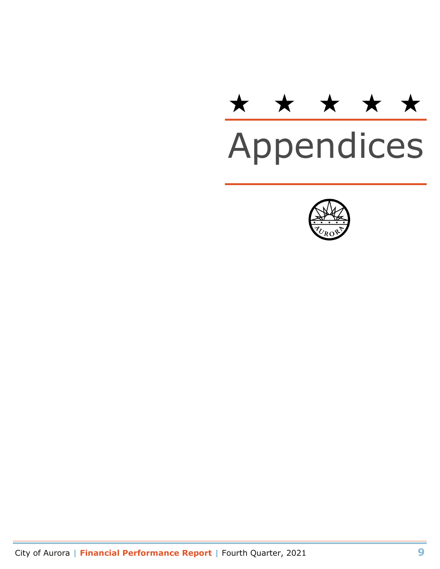# \* \* \* \* \*<br>Appendices

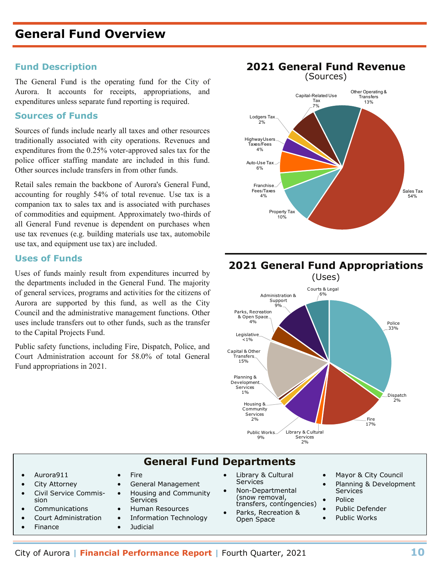#### **Fund Description**

The General Fund is the operating fund for the City of Aurora. It accounts for receipts, appropriations, and expenditures unless separate fund reporting is required.

#### **Sources of Funds**

Sources of funds include nearly all taxes and other resources traditionally associated with city operations. Revenues and expenditures from the 0.25% voter-approved sales tax for the police officer staffing mandate are included in this fund. Other sources include transfers in from other funds.

Retail sales remain the backbone of Aurora's General Fund, accounting for roughly 54% of total revenue. Use tax is a companion tax to sales tax and is associated with purchases of commodities and equipment. Approximately two-thirds of all General Fund revenue is dependent on purchases when use tax revenues (e.g. building materials use tax, automobile use tax, and equipment use tax) are included.

#### **Uses of Funds**

Uses of funds mainly result from expenditures incurred by the departments included in the General Fund. The majority of general services, programs and activities for the citizens of Aurora are supported by this fund, as well as the City Council and the administrative management functions. Other uses include transfers out to other funds, such as the transfer to the Capital Projects Fund.

Public safety functions, including Fire, Dispatch, Police, and Court Administration account for 58.0% of total General Fund appropriations in 2021.



#### **2021 General Fund Appropriations**  (Uses) Administration & Courts & Legal  $6%$



#### **General Fund Departments**

- Aurora911
- City Attorney
- Civil Service Commission
- **Communications**
- Court Administration
- **Finance**
- General Management
- Housing and Community Services
- Human Resources
- Information Technology
- **Judicial**

**Fire** 

- Library & Cultural **Services**
- Non-Departmental (snow removal, transfers, contingencies)
- Parks, Recreation & Open Space
- Mayor & City Council
- Planning & Development **Services**
- Police
- Public Defender
- Public Works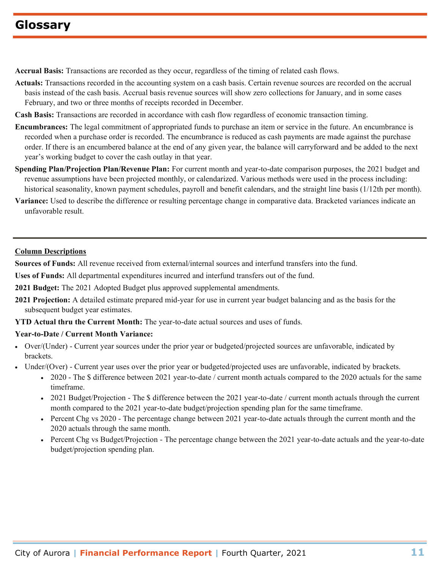# **Glossary**

**Accrual Basis:** Transactions are recorded as they occur, regardless of the timing of related cash flows.

- **Actuals:** Transactions recorded in the accounting system on a cash basis. Certain revenue sources are recorded on the accrual basis instead of the cash basis. Accrual basis revenue sources will show zero collections for January, and in some cases February, and two or three months of receipts recorded in December.
- **Cash Basis:** Transactions are recorded in accordance with cash flow regardless of economic transaction timing.
- **Encumbrances:** The legal commitment of appropriated funds to purchase an item or service in the future. An encumbrance is recorded when a purchase order is recorded. The encumbrance is reduced as cash payments are made against the purchase order. If there is an encumbered balance at the end of any given year, the balance will carryforward and be added to the next year's working budget to cover the cash outlay in that year.
- **Spending Plan/Projection Plan/Revenue Plan:** For current month and year-to-date comparison purposes, the 2021 budget and revenue assumptions have been projected monthly, or calendarized. Various methods were used in the process including: historical seasonality, known payment schedules, payroll and benefit calendars, and the straight line basis (1/12th per month).
- **Variance:** Used to describe the difference or resulting percentage change in comparative data. Bracketed variances indicate an unfavorable result.

#### **Column Descriptions**

**Sources of Funds:** All revenue received from external/internal sources and interfund transfers into the fund.

**Uses of Funds:** All departmental expenditures incurred and interfund transfers out of the fund.

**2021 Budget:** The 2021 Adopted Budget plus approved supplemental amendments.

**2021 Projection:** A detailed estimate prepared mid-year for use in current year budget balancing and as the basis for the subsequent budget year estimates.

**YTD Actual thru the Current Month:** The year-to-date actual sources and uses of funds.

#### **Year-to-Date / Current Month Variance:**

- Over/(Under) Current year sources under the prior year or budgeted/projected sources are unfavorable, indicated by brackets.
- Under/(Over) Current year uses over the prior year or budgeted/projected uses are unfavorable, indicated by brackets.
	- 2020 The \$ difference between 2021 year-to-date / current month actuals compared to the 2020 actuals for the same timeframe.
	- 2021 Budget/Projection The \$ difference between the 2021 year-to-date / current month actuals through the current month compared to the 2021 year-to-date budget/projection spending plan for the same timeframe.
	- Percent Chg vs 2020 The percentage change between 2021 year-to-date actuals through the current month and the 2020 actuals through the same month.
	- Percent Chg vs Budget/Projection The percentage change between the 2021 year-to-date actuals and the year-to-date budget/projection spending plan.